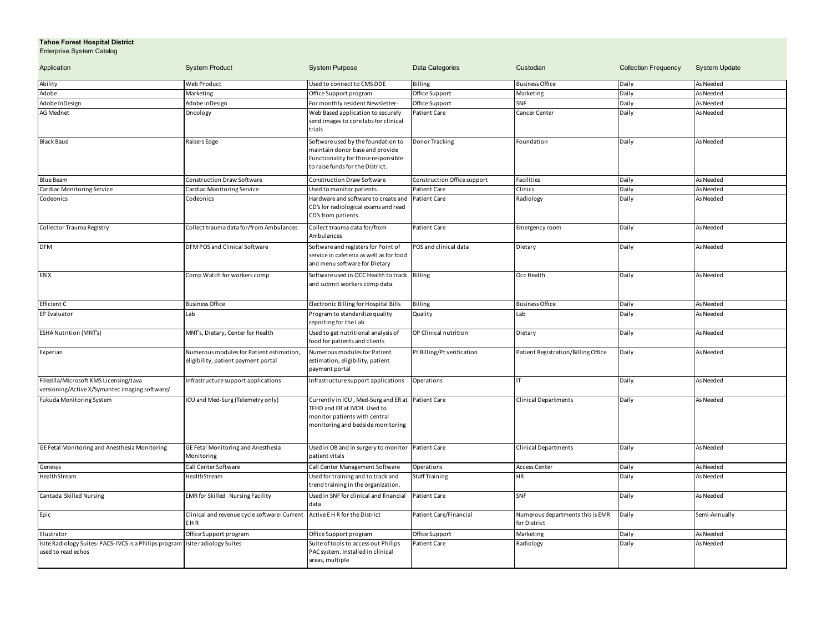## **Tahoe Forest Hospital District** Enterprise System Catalog

| Application                                                                              | <b>System Product</b>                                                           | <b>System Purpose</b>                                                                                                                            | Data Categories             | Custodian                                        | <b>Collection Frequency</b> | <b>System Update</b> |
|------------------------------------------------------------------------------------------|---------------------------------------------------------------------------------|--------------------------------------------------------------------------------------------------------------------------------------------------|-----------------------------|--------------------------------------------------|-----------------------------|----------------------|
| Ability                                                                                  | Web Product                                                                     | Used to connect to CMS DDE                                                                                                                       | Billing                     | <b>Business Office</b>                           | Daily                       | As Needed            |
| Adobe                                                                                    | Marketing                                                                       | Office Support program                                                                                                                           | Office Support              | Marketing                                        | Daily                       | As Needed            |
| Adobe InDesign                                                                           | Adobe InDesign                                                                  | For monthly resident Newsletter-                                                                                                                 | Office Support              | SNF                                              | Daily                       | As Needed            |
| <b>AG Mednet</b>                                                                         | Oncology                                                                        | Web Based application to securely<br>send images to core labs for clinical<br>trials                                                             | Patient Care                | Cancer Center                                    | Daily                       | As Needed            |
| <b>Black Baud</b>                                                                        | Raisers Edge                                                                    | Software used by the foundation to<br>maintain donor base and provide<br>Functionality for those responsible<br>to raise funds for the District. | Donor Tracking              | Foundation                                       | Daily                       | As Needed            |
| <b>Blue Beam</b>                                                                         | Construction Draw Software                                                      | <b>Construction Draw Software</b>                                                                                                                | Construction Office support | Facilities                                       | Daily                       | As Needed            |
| Cardiac Monitoring Service                                                               | Cardiac Monitoring Service                                                      | Used to monitor patients                                                                                                                         | <b>Patient Care</b>         | Clinics                                          | Daily                       | As Needed            |
| Codeonics                                                                                | Codeonics                                                                       | Hardware and software to create and<br>CD's for radiological exams and read<br>CD's from patients.                                               | <b>Patient Care</b>         | Radiology                                        | Daily                       | As Needed            |
| Collector Trauma Registry                                                                | Collect trauma data for/from Ambulances                                         | Collect trauma data for/from<br>Ambulances                                                                                                       | Patient Care                | Emergency room                                   | Daily                       | As Needed            |
| <b>DFM</b>                                                                               | DFM POS and Clinical Software                                                   | Software and registers for Point of<br>service in cafeteria as well as for food<br>and menu software for Dietary                                 | POS and clinical data       | Dietary                                          | Daily                       | As Needed            |
| EBIX                                                                                     | Comp Watch for workers comp                                                     | Software used in OCC Health to track Billing<br>and submit workers comp data.                                                                    |                             | Occ Health                                       | Daily                       | As Needed            |
| Efficient C                                                                              | <b>Business Office</b>                                                          | Electronic Billing for Hospital Bills                                                                                                            | <b>Billing</b>              | <b>Business Office</b>                           | Daily                       | As Needed            |
| EP Evaluator                                                                             | Lab                                                                             | Program to standardize quality<br>reporting for the Lab                                                                                          | Quality                     | Lab                                              | Daily                       | As Needed            |
| <b>ESHA Nutrition (MNT's)</b>                                                            | MNT's, Dietary, Center for Health                                               | Used to get nutritional analysis of<br>food for patients and clients                                                                             | OP Clinical nutrition       | Dietary                                          | Daily                       | As Needed            |
| Experian                                                                                 | Numerous modules for Patient estimation,<br>eligibility, patient payment portal | Numerous modules for Patient<br>estimation, eligibility, patient<br>payment portal                                                               | Pt Billing/Pt verification  | Patient Registration/Billing Office              | Daily                       | As Needed            |
| Filezilla/Microsoft KMS Licensing/Java<br>versioning/Active X/Symantec imaging software/ | nfrastructure support applications                                              | Infrastructure support applications                                                                                                              | Operations                  | IΤ                                               | Daily                       | As Needed            |
| Fukuda Monitoring System                                                                 | CU and Med-Surg (Telemetry only)                                                | Currently in ICU, Med-Surg and ER at<br>TFHD and ER at IVCH. Used to<br>monitor patients with central<br>monitoring and bedside monitoring       | <b>Patient Care</b>         | <b>Clinical Departments</b>                      | Daily                       | As Needed            |
| GE Fetal Monitoring and Anesthesia Monitoring                                            | GE Fetal Monitoring and Anesthesia<br>Monitoring                                | Used in OB and in surgery to monitor Patient Care<br>patient vitals                                                                              |                             | <b>Clinical Departments</b>                      | Daily                       | As Needed            |
| Genesys                                                                                  | Call Center Software                                                            | Call Center Management Software                                                                                                                  | Operations                  | <b>Access Center</b>                             | Daily                       | As Needed            |
| HealthStream                                                                             | HealthStream                                                                    | Used for training and to track and<br>trend training in the organization.                                                                        | Staff Training              | ΗR                                               | Daily                       | As Needed            |
| Cantada Skilled Nursing                                                                  | EMR for Skilled Nursing Facility                                                | Used in SNF for clinical and financial<br>data                                                                                                   | <b>Patient Care</b>         | SNF                                              | Daily                       | As Needed            |
| Epic                                                                                     | Clinical and revenue cycle software-Current<br>EHR                              | Active E H R for the District                                                                                                                    | Patient Care/Financial      | Numerous departments this is EMR<br>for District | Daily                       | Semi-Annually        |
| Illustrator                                                                              | Office Support program                                                          | Office Support program                                                                                                                           | Office Support              | Marketing                                        | Daily                       | As Needed            |
| Isite Radiology Suites-PACS-IVCS is a Philips program<br>used to read echos              | Isite radiology Suites                                                          | Suite of tools to access out Philips<br>PAC system. Installed in clinical<br>areas, multiple                                                     | Patient Care                | Radiology                                        | Daily                       | As Needed            |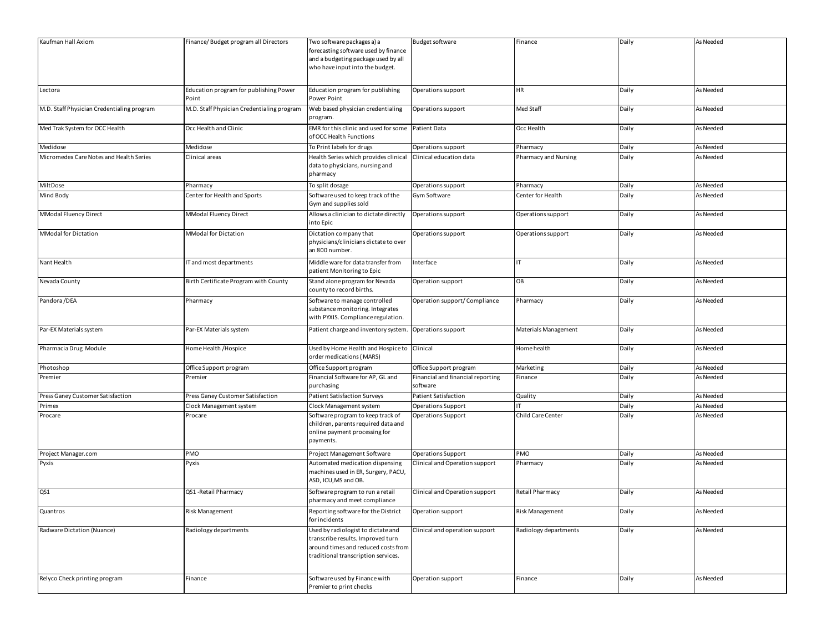| Kaufman Hall Axiom                         | Finance/Budget program all Directors            | Two software packages a) a<br>forecasting software used by finance<br>and a budgeting package used by all<br>who have input into the budget.          | <b>Budget software</b>                        | Finance               | Daily | As Needed |
|--------------------------------------------|-------------------------------------------------|-------------------------------------------------------------------------------------------------------------------------------------------------------|-----------------------------------------------|-----------------------|-------|-----------|
| Lectora                                    | Education program for publishing Power<br>Point | Education program for publishing<br>Power Point                                                                                                       | Operations support                            | ΗR                    | Daily | As Needed |
| M.D. Staff Physician Credentialing program | M.D. Staff Physician Credentialing program      | Web based physician credentialing<br>program.                                                                                                         | Operations support                            | Med Staff             | Daily | As Needed |
| Med Trak System for OCC Health             | Occ Health and Clinic                           | EMR for this clinic and used for some<br>of OCC Health Functions                                                                                      | Patient Data                                  | Occ Health            | Daily | As Needed |
| Medidose                                   | Medidose                                        | To Print labels for drugs                                                                                                                             | Operations support                            | Pharmacy              | Daily | As Needed |
| Micromedex Care Notes and Health Series    | Clinical areas                                  | Health Series which provides clinical<br>data to physicians, nursing and<br>pharmacy                                                                  | Clinical education data                       | Pharmacy and Nursing  | Daily | As Needed |
| MiltDose                                   | Pharmacy                                        | To split dosage                                                                                                                                       | Operations support                            | Pharmacy              | Daily | As Needed |
| Mind Body                                  | Center for Health and Sports                    | Software used to keep track of the<br>Gym and supplies sold                                                                                           | Gym Software                                  | Center for Health     | Daily | As Needed |
| MModal Fluency Direct                      | MModal Fluency Direct                           | Allows a clinician to dictate directly<br>into Epic                                                                                                   | Operations support                            | Operations support    | Daily | As Needed |
| <b>MModal for Dictation</b>                | MModal for Dictation                            | Dictation company that<br>physicians/clinicians dictate to over<br>an 800 number.                                                                     | Operations support                            | Operations support    | Daily | As Needed |
| Nant Health                                | IT and most departments                         | Middle ware for data transfer from<br>patient Monitoring to Epic                                                                                      | nterface                                      |                       | Daily | As Needed |
| Nevada County                              | Birth Certificate Program with County           | Stand alone program for Nevada<br>county to record births.                                                                                            | Operation support                             | OB                    | Daily | As Needed |
| Pandora /DEA                               | Pharmacy                                        | Software to manage controlled<br>substance monitoring. Integrates<br>with PYXIS. Compliance regulation.                                               | Operation support/ Compliance                 | Pharmacy              | Daily | As Needed |
| Par-EX Materials system                    | Par-EX Materials system                         | Patient charge and inventory system.                                                                                                                  | Operations support                            | Materials Management  | Daily | As Needed |
| Pharmacia Drug Module                      | Home Health /Hospice                            | Used by Home Health and Hospice to<br>order medications (MARS)                                                                                        | Clinical                                      | Home health           | Daily | As Needed |
| Photoshop                                  | Office Support program                          | Office Support program                                                                                                                                | Office Support program                        | Marketing             | Daily | As Needed |
| Premier                                    | Premier                                         | Financial Software for AP, GL and<br>purchasing                                                                                                       | Financial and financial reporting<br>software | Finance               | Daily | As Needed |
| Press Ganey Customer Satisfaction          | Press Ganey Customer Satisfaction               | <b>Patient Satisfaction Surveys</b>                                                                                                                   | Patient Satisfaction                          | Quality               | Daily | As Needed |
| Primex                                     | Clock Management system                         | Clock Management system                                                                                                                               | Operations Support                            |                       | Daily | As Needed |
| Procare                                    | Procare                                         | Software program to keep track of<br>children, parents required data and<br>online payment processing for<br>payments.                                | Operations Support                            | Child Care Center     | Daily | As Needed |
| Project Manager.com                        | PMO                                             | Project Management Software                                                                                                                           | Operations Support                            | PMO                   | Daily | As Needed |
| Pyxis                                      | Pyxis                                           | Automated medication dispensing<br>machines used in ER, Surgery, PACU,<br>ASD, ICU, MS and OB.                                                        | Clinical and Operation support                | Pharmacy              | Daily | As Needed |
| QS1                                        | QS1 - Retail Pharmacy                           | Software program to run a retail<br>pharmacy and meet compliance                                                                                      | Clinical and Operation support                | Retail Pharmacy       | Daily | As Needed |
| Quantros                                   | <b>Risk Management</b>                          | Reporting software for the District<br>for incidents                                                                                                  | Operation support                             | Risk Management       | Daily | As Needed |
| Radware Dictation (Nuance)                 | Radiology departments                           | Used by radiologist to dictate and<br>transcribe results. Improved turn<br>around times and reduced costs from<br>traditional transcription services. | Clinical and operation support                | Radiology departments | Daily | As Needed |
| Relyco Check printing program              | Finance                                         | Software used by Finance with<br>Premier to print checks                                                                                              | Operation support                             | Finance               | Daily | As Needed |